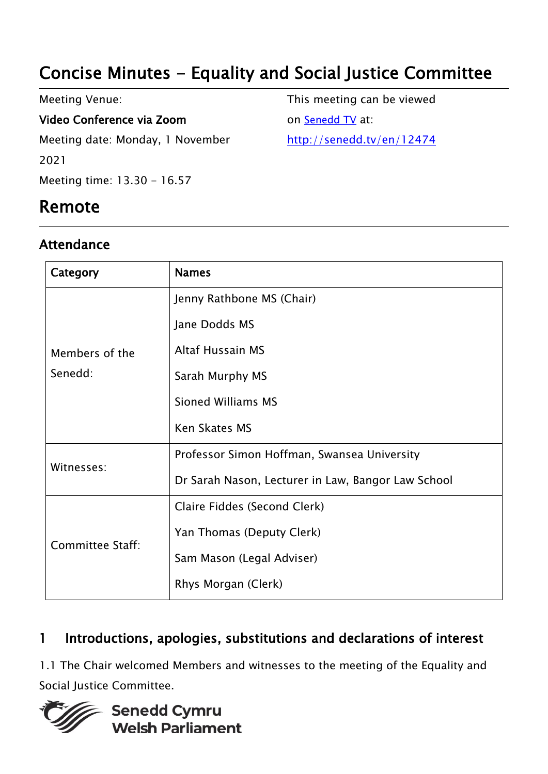# Concise Minutes - Equality and Social Justice Committee

Meeting Venue: Video Conference via Zoom Meeting date: Monday, 1 November 2021 Meeting time: 13.30 - 16.57

## Remote

#### Attendance

This meeting can be viewed on [Senedd TV](http://senedd.tv/) at: http://senedd.tv/en/12474

| Category                  | <b>Names</b>                                       |
|---------------------------|----------------------------------------------------|
| Members of the<br>Senedd: | Jenny Rathbone MS (Chair)                          |
|                           | Jane Dodds MS                                      |
|                           | <b>Altaf Hussain MS</b>                            |
|                           | Sarah Murphy MS                                    |
|                           | <b>Sioned Williams MS</b>                          |
|                           | <b>Ken Skates MS</b>                               |
| Witnesses:                | Professor Simon Hoffman, Swansea University        |
|                           | Dr Sarah Nason, Lecturer in Law, Bangor Law School |
| Committee Staff:          | Claire Fiddes (Second Clerk)                       |
|                           | Yan Thomas (Deputy Clerk)                          |
|                           | Sam Mason (Legal Adviser)                          |
|                           | Rhys Morgan (Clerk)                                |

### 1 Introductions, apologies, substitutions and declarations of interest

1.1 The Chair welcomed Members and witnesses to the meeting of the Equality and Social Justice Committee.

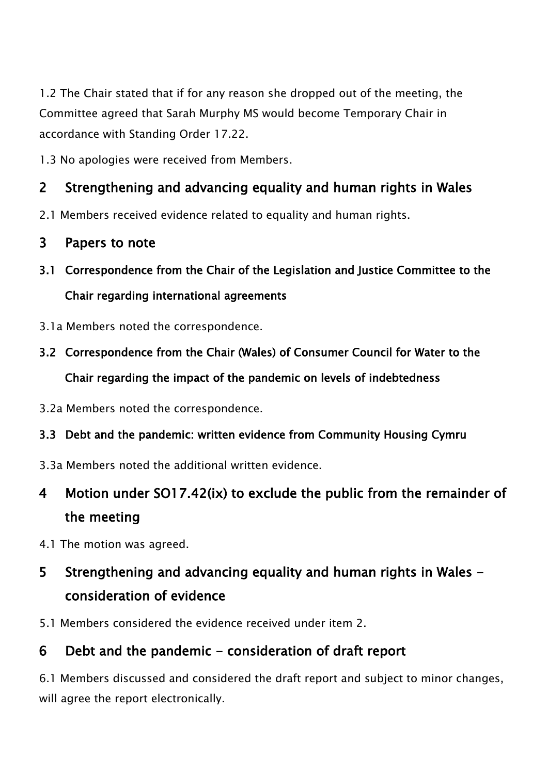1.2 The Chair stated that if for any reason she dropped out of the meeting, the Committee agreed that Sarah Murphy MS would become Temporary Chair in accordance with Standing Order 17.22.

1.3 No apologies were received from Members.

### 2 Strengthening and advancing equality and human rights in Wales

- 2.1 Members received evidence related to equality and human rights.
- 3 Papers to note
- 3.1 Correspondence from the Chair of the Legislation and Justice Committee to the Chair regarding international agreements
- 3.1a Members noted the correspondence.
- 3.2 Correspondence from the Chair (Wales) of Consumer Council for Water to the Chair regarding the impact of the pandemic on levels of indebtedness
- 3.2a Members noted the correspondence.
- 3.3 Debt and the pandemic: written evidence from Community Housing Cymru
- 3.3a Members noted the additional written evidence.

## 4 Motion under SO17.42(ix) to exclude the public from the remainder of the meeting

4.1 The motion was agreed.

## 5 Strengthening and advancing equality and human rights in Wales consideration of evidence

5.1 Members considered the evidence received under item 2.

### 6 Debt and the pandemic - consideration of draft report

6.1 Members discussed and considered the draft report and subject to minor changes, will agree the report electronically.